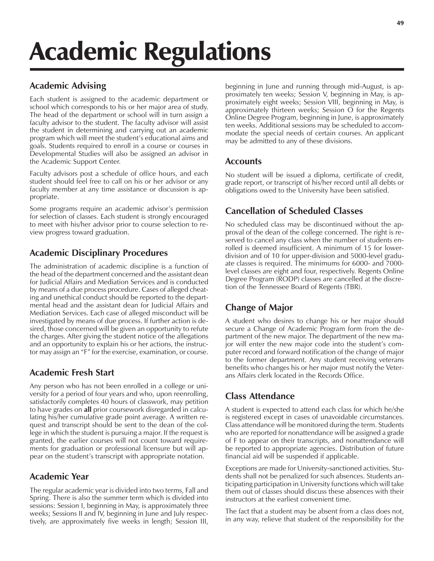# Academic Regulations

## **Academic Advising**

Each student is assigned to the academic department or school which corresponds to his or her major area of study. The head of the department or school will in turn assign a faculty advisor to the student. The faculty advisor will assist the student in determining and carrying out an academic program which will meet the student's educational aims and goals. Students required to enroll in a course or courses in Developmental Studies will also be assigned an advisor in the Academic Support Center.

Faculty advisors post a schedule of office hours, and each student should feel free to call on his or her advisor or any faculty member at any time assistance or discussion is appropriate.

Some programs require an academic advisor's permission for selection of classes. Each student is strongly encouraged to meet with his/her advisor prior to course selection to review progress toward graduation.

## **Academic Disciplinary Procedures**

The administration of academic discipline is a function of the head of the department concerned and the assistant dean for Judicial Affairs and Mediation Services and is conducted by means of a due process procedure. Cases of alleged cheating and unethical conduct should be reported to the departmental head and the assistant dean for Judicial Affairs and Mediation Services. Each case of alleged misconduct will be investigated by means of due process. If further action is desired, those concerned will be given an opportunity to refute the charges. After giving the student notice of the allegations and an opportunity to explain his or her actions, the instructor may assign an "F" for the exercise, examination, or course.

## **Academic Fresh Start**

Any person who has not been enrolled in a college or university for a period of four years and who, upon reenrolling, satisfactorily completes 40 hours of classwork, may petition to have grades on **all** prior coursework disregarded in calculating his/her cumulative grade point average. A written request and transcript should be sent to the dean of the college in which the student is pursuing a major. If the request is granted, the earlier courses will not count toward requirements for graduation or professional licensure but will appear on the student's transcript with appropriate notation.

## **Academic Year**

The regular academic year is divided into two terms, Fall and Spring. There is also the summer term which is divided into sessions: Session I, beginning in May, is approximately three weeks; Sessions II and IV, beginning in June and July respectively, are approximately five weeks in length; Session III, beginning in June and running through mid-August, is approximately ten weeks; Session V, beginning in May, is approximately eight weeks; Session VIII, beginning in May, is approximately thirteen weeks; Session O for the Regents Online Degree Program, beginning in June, is approximately ten weeks. Additional sessions may be scheduled to accommodate the special needs of certain courses. An applicant may be admitted to any of these divisions.

## **Accounts**

No student will be issued a diploma, certificate of credit, grade report, or transcript of his/her record until all debts or obligations owed to the University have been satisfied.

# **Cancellation of Scheduled Classes**

No scheduled class may be discontinued without the approval of the dean of the college concerned. The right is reserved to cancel any class when the number of students enrolled is deemed insufficient. A minimum of 15 for lowerdivision and of 10 for upper-division and 5000-level graduate classes is required. The minimums for 6000- and 7000 level classes are eight and four, respectively. Regents Online Degree Program (RODP) classes are cancelled at the discretion of the Tennessee Board of Regents (TBR).

# **Change of Major**

A student who desires to change his or her major should secure a Change of Academic Program form from the department of the new major. The department of the new major will enter the new major code into the student's computer record and forward notification of the change of major to the former department. Any student receiving veterans benefits who changes his or her major must notify the Veterans Affairs clerk located in the Records Office.

## **Class Attendance**

A student is expected to attend each class for which he/she is registered except in cases of unavoidable circumstances. Class attendance will be monitored during the term. Students who are reported for nonattendance will be assigned a grade of F to appear on their transcripts, and nonattendance will be reported to appropriate agencies. Distribution of future financial aid will be suspended if applicable.

Exceptions are made for University-sanctioned activities. Students shall not be penalized for such absences. Students anticipating participation in University functions which will take them out of classes should discuss these absences with their instructors at the earliest convenient time.

The fact that a student may be absent from a class does not, in any way, relieve that student of the responsibility for the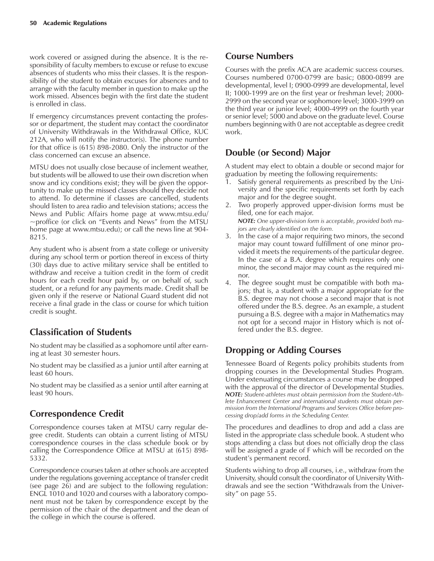work covered or assigned during the absence. It is the responsibility of faculty members to excuse or refuse to excuse absences of students who miss their classes. It is the responsibility of the student to obtain excuses for absences and to arrange with the faculty member in question to make up the work missed. Absences begin with the first date the student is enrolled in class.

If emergency circumstances prevent contacting the professor or department, the student may contact the coordinator of University Withdrawals in the Withdrawal Office, KUC 212A, who will notify the instructor(s). The phone number for that office is (615) 898-2080. Only the instructor of the class concerned can excuse an absence.

MTSU does not usually close because of inclement weather, but students will be allowed to use their own discretion when snow and icy conditions exist; they will be given the opportunity to make up the missed classes should they decide not to attend. To determine if classes are cancelled, students should listen to area radio and television stations; access the News and Public Affairs home page at www.mtsu.edu/  $\sim$ proffice (or click on "Events and News" from the MTSU home page at www.mtsu.edu); or call the news line at 904- 8215.

Any student who is absent from a state college or university during any school term or portion thereof in excess of thirty (30) days due to active military service shall be entitled to withdraw and receive a tuition credit in the form of credit hours for each credit hour paid by, or on behalf of, such student, or a refund for any payments made. Credit shall be given only if the reserve or National Guard student did not receive a final grade in the class or course for which tuition credit is sought.

# **Classification of Students**

No student may be classified as a sophomore until after earning at least 30 semester hours.

No student may be classified as a junior until after earning at least 60 hours.

No student may be classified as a senior until after earning at least 90 hours.

## **Correspondence Credit**

Correspondence courses taken at MTSU carry regular degree credit. Students can obtain a current listing of MTSU correspondence courses in the class schedule book or by calling the Correspondence Office at MTSU at (615) 898- 5332.

Correspondence courses taken at other schools are accepted under the regulations governing acceptance of transfer credit (see page 26) and are subject to the following regulation: ENGL 1010 and 1020 and courses with a laboratory component must not be taken by correspondence except by the permission of the chair of the department and the dean of the college in which the course is offered.

## **Course Numbers**

Courses with the prefix ACA are academic success courses. Courses numbered 0700-0799 are basic; 0800-0899 are developmental, level I; 0900-0999 are developmental, level II; 1000-1999 are on the first year or freshman level; 2000- 2999 on the second year or sophomore level; 3000-3999 on the third year or junior level; 4000-4999 on the fourth year or senior level; 5000 and above on the graduate level. Course numbers beginning with 0 are not acceptable as degree credit work.

## **Double (or Second) Major**

A student may elect to obtain a double or second major for graduation by meeting the following requirements:

- 1. Satisfy general requirements as prescribed by the University and the specific requirements set forth by each major and for the degree sought.
- 2. Two properly approved upper-division forms must be filed, one for each major. *NOTE: One upper-division form is acceptable, provided both ma-*
- *jors are clearly identified on the form.* 3. In the case of a major requiring two minors, the second major may count toward fulfillment of one minor provided it meets the requirements of the particular degree. In the case of a B.A. degree which requires only one minor, the second major may count as the required minor.
- 4. The degree sought must be compatible with both majors; that is, a student with a major appropriate for the B.S. degree may not choose a second major that is not offered under the B.S. degree. As an example, a student pursuing a B.S. degree with a major in Mathematics may not opt for a second major in History which is not offered under the B.S. degree.

# **Dropping or Adding Courses**

Tennessee Board of Regents policy prohibits students from dropping courses in the Developmental Studies Program. Under extenuating circumstances a course may be dropped with the approval of the director of Developmental Studies. *NOTE: Student-athletes must obtain permission from the Student-Athlete Enhancement Center and international students must obtain permission from the International Programs and Services Office before processing drop/add forms in the Scheduling Center.*

The procedures and deadlines to drop and add a class are listed in the appropriate class schedule book. A student who stops attending a class but does not officially drop the class will be assigned a grade of F which will be recorded on the student's permanent record.

Students wishing to drop all courses, i.e., withdraw from the University, should consult the coordinator of University Withdrawals and see the section "Withdrawals from the University" on page 55.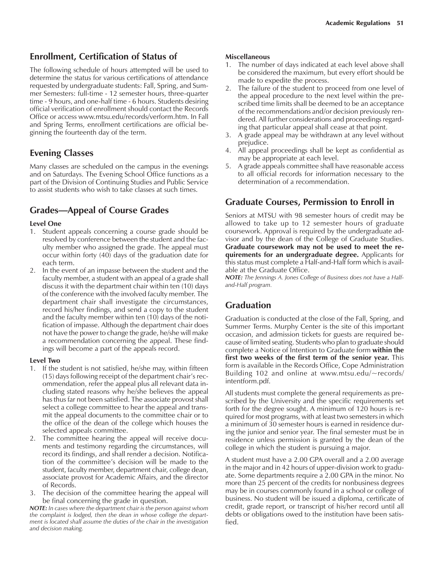### **Enrollment, Certification of Status of**

The following schedule of hours attempted will be used to determine the status for various certifications of attendance requested by undergraduate students: Fall, Spring, and Summer Semesters: full-time - 12 semester hours, three-quarter time - 9 hours, and one-half time - 6 hours. Students desiring official verification of enrollment should contact the Records Office or access www.mtsu.edu/records/verform.htm. In Fall and Spring Terms, enrollment certifications are official beginning the fourteenth day of the term.

## **Evening Classes**

Many classes are scheduled on the campus in the evenings and on Saturdays. The Evening School Office functions as a part of the Division of Continuing Studies and Public Service to assist students who wish to take classes at such times.

## **Grades—Appeal of Course Grades**

#### **Level One**

- 1. Student appeals concerning a course grade should be resolved by conference between the student and the faculty member who assigned the grade. The appeal must occur within forty  $(40)$  days of the graduation date for each term.
- 2. In the event of an impasse between the student and the faculty member, a student with an appeal of a grade shall discuss it with the department chair within ten (10) days of the conference with the involved faculty member. The department chair shall investigate the circumstances, record his/her findings, and send a copy to the student and the faculty member within ten (10) days of the notification of impasse. Although the department chair does not have the power to change the grade, he/she will make a recommendation concerning the appeal. These findings will become a part of the appeals record.

#### **Level Two**

- 1. If the student is not satisfied, he/she may, within fifteen (15) days following receipt of the department chair's recommendation, refer the appeal plus all relevant data including stated reasons why he/she believes the appeal has thus far not been satisfied. The associate provost shall select a college committee to hear the appeal and transmit the appeal documents to the committee chair or to the office of the dean of the college which houses the selected appeals committee.
- 2. The committee hearing the appeal will receive documents and testimony regarding the circumstances, will record its findings, and shall render a decision. Notification of the committee's decision will be made to the student, faculty member, department chair, college dean, associate provost for Academic Affairs, and the director of Records.
- 3. The decision of the committee hearing the appeal will be final concerning the grade in question.

*NOTE: In cases where the department chair is the person against whom the complaint is lodged, then the dean in whose college the department is located shall assume the duties of the chair in the investigation and decision making.*

#### **Miscellaneous**

- 1. The number of days indicated at each level above shall be considered the maximum, but every effort should be made to expedite the process.
- 2. The failure of the student to proceed from one level of the appeal procedure to the next level within the prescribed time limits shall be deemed to be an acceptance of the recommendations and/or decision previously rendered. All further considerations and proceedings regarding that particular appeal shall cease at that point.
- 3. A grade appeal may be withdrawn at any level without prejudice.
- 4. All appeal proceedings shall be kept as confidential as may be appropriate at each level.
- 5. A grade appeals committee shall have reasonable access to all official records for information necessary to the determination of a recommendation.

## **Graduate Courses, Permission to Enroll in**

Seniors at MTSU with 98 semester hours of credit may be allowed to take up to 12 semester hours of graduate coursework. Approval is required by the undergraduate advisor and by the dean of the College of Graduate Studies. **Graduate coursework may not be used to meet the requirements for an undergraduate degree.** Applicants for this status must complete a Half-and-Half form which is available at the Graduate Office.

*NOTE: The Jennings A. Jones College of Business does not have a Halfand-Half program.*

## **Graduation**

Graduation is conducted at the close of the Fall, Spring, and Summer Terms. Murphy Center is the site of this important occasion, and admission tickets for guests are required because of limited seating. Students who plan to graduate should complete a Notice of Intention to Graduate form **within the first two weeks of the first term of the senior year.** This form is available in the Records Office, Cope Administration Building 102 and online at www.mtsu.edu/~records/ intentform.pdf.

All students must complete the general requirements as prescribed by the University and the specific requirements set forth for the degree sought. A minimum of 120 hours is required for most programs, with at least two semesters in which a minimum of 30 semester hours is earned in residence during the junior and senior year. The final semester must be in residence unless permission is granted by the dean of the college in which the student is pursuing a major.

A student must have a 2.00 GPA overall and a 2.00 average in the major and in 42 hours of upper-division work to graduate. Some departments require a 2.00 GPA in the minor. No more than 25 percent of the credits for nonbusiness degrees may be in courses commonly found in a school or college of business. No student will be issued a diploma, certificate of credit, grade report, or transcript of his/her record until all debts or obligations owed to the institution have been satisfied.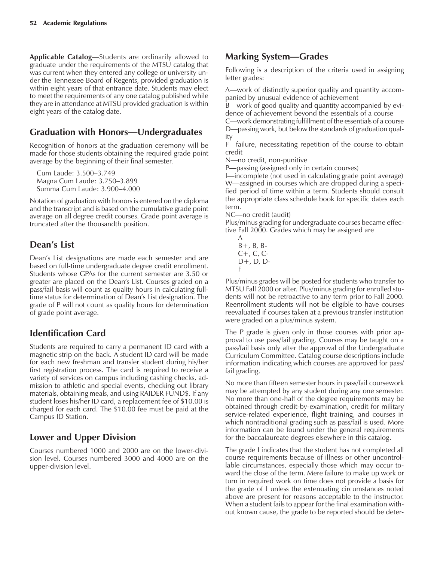**Applicable Catalog**—Students are ordinarily allowed to graduate under the requirements of the MTSU catalog that was current when they entered any college or university under the Tennessee Board of Regents, provided graduation is within eight years of that entrance date. Students may elect to meet the requirements of any one catalog published while they are in attendance at MTSU provided graduation is within eight years of the catalog date.

## **Graduation with Honors—Undergraduates**

Recognition of honors at the graduation ceremony will be made for those students obtaining the required grade point average by the beginning of their final semester.

Cum Laude: 3.500-3.749 Magna Cum Laude: 3.750-3.899 Summa Cum Laude: 3.900-4.000

Notation of graduation with honors is entered on the diploma and the transcript and is based on the cumulative grade point average on all degree credit courses. Grade point average is truncated after the thousandth position.

## Dean's List

Dean's List designations are made each semester and are based on full-time undergraduate degree credit enrollment. Students whose GPAs for the current semester are 3.50 or greater are placed on the Dean's List. Courses graded on a pass/fail basis will count as quality hours in calculating fulltime status for determination of Dean's List designation. The grade of P will not count as quality hours for determination of grade point average.

# **Identification Card**

Students are required to carry a permanent ID card with a magnetic strip on the back. A student ID card will be made for each new freshman and transfer student during his/her first registration process. The card is required to receive a variety of services on campus including cashing checks, admission to athletic and special events, checking out library materials, obtaining meals, and using RAIDER FUND\$. If any student loses his/her ID card, a replacement fee of \$10.00 is charged for each card. The \$10.00 fee must be paid at the Campus ID Station.

# **Lower and Upper Division**

Courses numbered 1000 and 2000 are on the lower-division level. Courses numbered 3000 and 4000 are on the upper-division level.

## **Marking System—Grades**

Following is a description of the criteria used in assigning letter grades:

A—work of distinctly superior quality and quantity accompanied by unusual evidence of achievement

B—work of good quality and quantity accompanied by evidence of achievement beyond the essentials of a course

C—work demonstrating fulfillment of the essentials of a course D—passing work, but below the standards of graduation quality

 $F$ –failure, necessitating repetition of the course to obtain credit

N-no credit, non-punitive

P—passing (assigned only in certain courses)

I—incomplete (not used in calculating grade point average) W—assigned in courses which are dropped during a specified period of time within a term. Students should consult the appropriate class schedule book for specific dates each term.

NC—no credit (audit)

Plus/minus grading for undergraduate courses became effective Fall 2000. Grades which may be assigned are

A  $B+$ ,  $B$ ,  $B C_{+}$ ,  $C_{0}$ ,  $C_{-}$ D+, D, D-F

Plus/minus grades will be posted for students who transfer to MTSU Fall 2000 or after. Plus/minus grading for enrolled students will not be retroactive to any term prior to Fall 2000. Reenrollment students will not be eligible to have courses reevaluated if courses taken at a previous transfer institution were graded on a plus/minus system.

The P grade is given only in those courses with prior approval to use pass/fail grading. Courses may be taught on a pass/fail basis only after the approval of the Undergraduate Curriculum Committee. Catalog course descriptions include information indicating which courses are approved for pass/ fail grading.

No more than fifteen semester hours in pass/fail coursework may be attempted by any student during any one semester. No more than one-half of the degree requirements may be obtained through credit-by-examination, credit for military service-related experience, flight training, and courses in which nontraditional grading such as pass/fail is used. More information can be found under the general requirements for the baccalaureate degrees elsewhere in this catalog.

The grade I indicates that the student has not completed all course requirements because of illness or other uncontrollable circumstances, especially those which may occur toward the close of the term. Mere failure to make up work or turn in required work on time does not provide a basis for the grade of I unless the extenuating circumstances noted above are present for reasons acceptable to the instructor. When a student fails to appear for the final examination without known cause, the grade to be reported should be deter-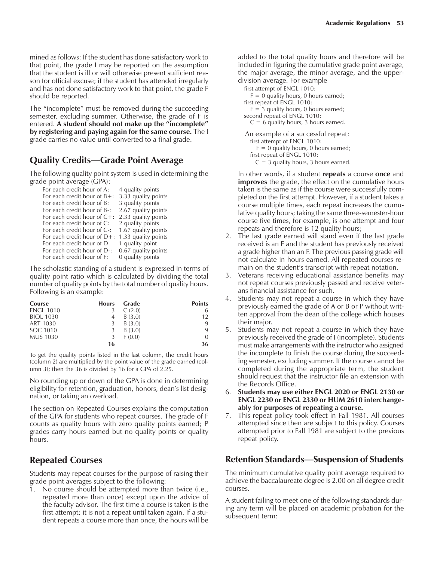mined as follows: If the student has done satisfactory work to that point, the grade I may be reported on the assumption that the student is ill or will otherwise present sufficient reason for official excuse; if the student has attended irregularly and has not done satisfactory work to that point, the grade F should be reported.

The "incomplete" must be removed during the succeeding semester, excluding summer. Otherwise, the grade of F is entered. A student should not make up the "incomplete" **by registering and paying again for the same course.** The I grade carries no value until converted to a final grade.

## **Quality Credits—Grade Point Average**

The following quality point system is used in determining the grade point average (GPA):

| For each credit hour of A:      | 4 quality points    |
|---------------------------------|---------------------|
| For each credit hour of $B +$ : | 3.33 quality points |
| For each credit hour of B:      | 3 quality points    |
| For each credit hour of B-:     | 2.67 quality points |
| For each credit hour of $C+$ :  | 2.33 quality points |
| For each credit hour of C:      | 2 quality points    |
| For each credit hour of C-:     | 1.67 quality points |
| For each credit hour of $D+$ :  | 1.33 quality points |
| For each credit hour of D:      | 1 quality point     |
| For each credit hour of D-:     | 0.67 quality points |
| For each credit hour of F:      | 0 quality points    |

The scholastic standing of a student is expressed in terms of quality point ratio which is calculated by dividing the total number of quality points by the total number of quality hours. Following is an example:

| Course           | <b>Hours</b> | Grade  | <b>Points</b> |
|------------------|--------------|--------|---------------|
| <b>ENGL 1010</b> | 3            | C(2.0) | 6             |
| <b>BIOL 1030</b> |              | B(3.0) | 12            |
| ART 1030         | 3            | B(3.0) | 9             |
| SOC 1010         | 3            | B(3.0) | 9             |
| <b>MUS 1030</b>  | 3            | F(0,0) | $\Omega$      |
|                  | 16           |        | 36            |

To get the quality points listed in the last column, the credit hours (column 2) are multiplied by the point value of the grade earned (column 3); then the 36 is divided by 16 for a GPA of 2.25.

No rounding up or down of the GPA is done in determining eligibility for retention, graduation, honors, dean's list designation, or taking an overload.

The section on Repeated Courses explains the computation of the GPA for students who repeat courses. The grade of F counts as quality hours with zero quality points earned; P grades carry hours earned but no quality points or quality hours.

## **Repeated Courses**

Students may repeat courses for the purpose of raising their grade point averages subject to the following:

1. No course should be attempted more than twice (i.e., repeated more than once) except upon the advice of the faculty advisor. The first time a course is taken is the first attempt; it is not a repeat until taken again. If a student repeats a course more than once, the hours will be

added to the total quality hours and therefore will be included in figuring the cumulative grade point average, the major average, the minor average, and the upperdivision average. For example

first attempt of ENGL 1010:

 $F = 0$  quality hours, 0 hours earned;

first repeat of ENGL 1010:

 $F = 3$  quality hours, 0 hours earned; second repeat of ENGL 1010:

 $C = 6$  quality hours, 3 hours earned.

An example of a successful repeat: first attempt of ENGL 1010:  $F = 0$  quality hours, 0 hours earned; first repeat of ENGL 1010:

 $C = 3$  quality hours, 3 hours earned.

In other words, if a student **repeats** a course **once** and **improves** the grade, the effect on the cumulative hours taken is the same as if the course were successfully completed on the first attempt. However, if a student takes a course multiple times, each repeat increases the cumulative quality hours; taking the same three-semester-hour course five times, for example, is one attempt and four repeats and therefore is 12 quality hours;

- 2. The last grade earned will stand even if the last grade received is an F and the student has previously received a grade higher than an F. The previous passing grade will not calculate in hours earned. All repeated courses remain on the student's transcript with repeat notation.
- 3. Veterans receiving educational assistance benefits may not repeat courses previously passed and receive veterans financial assistance for such.
- 4. Students may not repeat a course in which they have previously earned the grade of A or B or P without written approval from the dean of the college which houses their major.
- 5. Students may not repeat a course in which they have previously received the grade of I (incomplete). Students must make arrangements with the instructor who assigned the incomplete to finish the course during the succeeding semester, excluding summer. If the course cannot be completed during the appropriate term, the student should request that the instructor file an extension with the Records Office.
- 6. **Students may use either ENGL 2020 or ENGL 2130 or ENGL 2230 or ENGL 2330 or HUM 2610 interchangeably for purposes of repeating a course.**
- 7. This repeat policy took effect in Fall 1981. All courses attempted since then are subject to this policy. Courses attempted prior to Fall 1981 are subject to the previous repeat policy.

## **Retention Standards—Suspension of Students**

The minimum cumulative quality point average required to achieve the baccalaureate degree is 2.00 on all degree credit courses.

A student failing to meet one of the following standards during any term will be placed on academic probation for the subsequent term: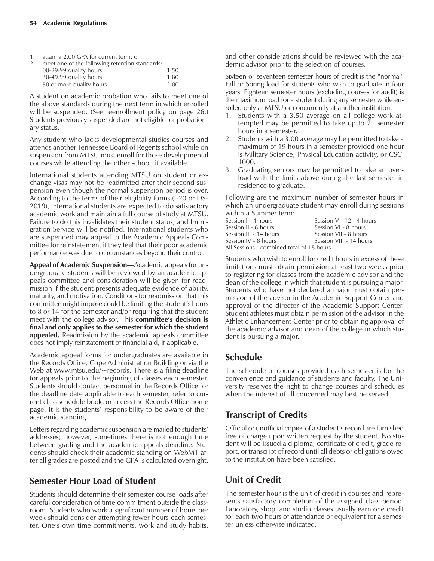1. attain a 2.00 GPA for current term, or

| 2. | meet one of the following retention standards: |      |
|----|------------------------------------------------|------|
|    | 00-29.99 quality hours                         | 1.50 |
|    | 30-49.99 quality hours                         | 1.80 |
|    | 50 or more quality hours                       | 2.00 |

A student on academic probation who fails to meet one of the above standards during the next term in which enrolled will be suspended. (See reenrollment policy on page 26.) Students previously suspended are not eligible for probationary status.

Any student who lacks developmental studies courses and attends another Tennessee Board of Regents school while on suspension from MTSU must enroll for those developmental courses while attending the other school, if available.

International students attending MTSU on student or exchange visas may not be readmitted after their second suspension even though the normal suspension period is over. According to the terms of their eligibility forms (I-20 or DS-2019), international students are expected to do satisfactory academic work and maintain a full course of study at MTSU. Failure to do this invalidates their student status, and Immigration Service will be notified. International students who are suspended may appeal to the Academic Appeals Committee for reinstatement if they feel that their poor academic performance was due to circumstances beyond their control.

Appeal of Academic Suspension—Academic appeals for undergraduate students will be reviewed by an academic appeals committee and consideration will be given for readmission if the student presents adequate evidence of ability, maturity, and motivation. Conditions for readmission that this committee might impose could be limiting the student's hours to 8 or 14 for the semester and/or requiring that the student meet with the college advisor. This **committee's decision is final and only applies to the semester for which the student appealed.** Readmission by the academic appeals committee does not imply reinstatement of financial aid, if applicable.

Academic appeal forms for undergraduates are available in the Records Office, Cope Administration Building or via the Web at www.mtsu.edu/~records. There is a filing deadline for appeals prior to the beginning of classes each semester. Students should contact personnel in the Records Office for the deadline date applicable to each semester, refer to current class schedule book, or access the Records Office home page. It is the students' responsibility to be aware of their academic standing.

Letters regarding academic suspension are mailed to students' addresses; however, sometimes there is not enough time between grading and the academic appeals deadline. Students should check their academic standing on WebMT after all grades are posted and the GPA is calculated overnight.

## **Semester Hour Load of Student**

Students should determine their semester course loads after careful consideration of time commitment outside the classroom. Students who work a significant number of hours per week should consider attempting fewer hours each semester. One's own time commitments, work and study habits, and other considerations should be reviewed with the academic advisor prior to the selection of courses.

Sixteen or seventeen semester hours of credit is the "normal" Fall or Spring load for students who wish to graduate in four years. Eighteen semester hours (excluding courses for audit) is the maximum load for a student during any semester while enrolled only at MTSU or concurrently at another institution.

- 1. Students with a 3.50 average on all college work attempted may be permitted to take up to 21 semester hours in a semester.
- 2. Students with a 3.00 average may be permitted to take a maximum of 19 hours in a semester provided one hour is Military Science, Physical Education activity, or CSCI 1000.
- 3. Graduating seniors may be permitted to take an overload with the limits above during the last semester in residence to graduate.

Following are the maximum number of semester hours in which an undergraduate student may enroll during sessions within a Summer term:

| Session L - 4 hours                       | Session $V - 12-14$ hours |  |
|-------------------------------------------|---------------------------|--|
| Session II - 8 hours                      | Session VI - 8 hours      |  |
| Session III - 14 hours                    | Session VII - 8 hours     |  |
| Session IV - 8 hours                      | Session VIII - 14 hours   |  |
| All Sessions - combined total of 18 hours |                           |  |

Students who wish to enroll for credit hours in excess of these limitations must obtain permission at least two weeks prior to registering for classes from the academic advisor and the dean of the college in which that student is pursuing a major. Students who have not declared a major must obtain permission of the advisor in the Academic Support Center and approval of the director of the Academic Support Center. Student athletes must obtain permission of the advisor in the Athletic Enhancement Center prior to obtaining approval of the academic advisor and dean of the college in which student is pursuing a major.

## **Schedule**

The schedule of courses provided each semester is for the convenience and guidance of students and faculty. The University reserves the right to change courses and schedules when the interest of all concerned may best be served.

# **Transcript of Credits**

Official or unofficial copies of a student's record are furnished free of charge upon written request by the student. No student will be issued a diploma, certificate of credit, grade report, or transcript of record until all debts or obligations owed to the institution have been satisfied.

## **Unit of Credit**

The semester hour is the unit of credit in courses and represents satisfactory completion of the assigned class period. Laboratory, shop, and studio classes usually earn one credit for each two hours of attendance or equivalent for a semester unless otherwise indicated.